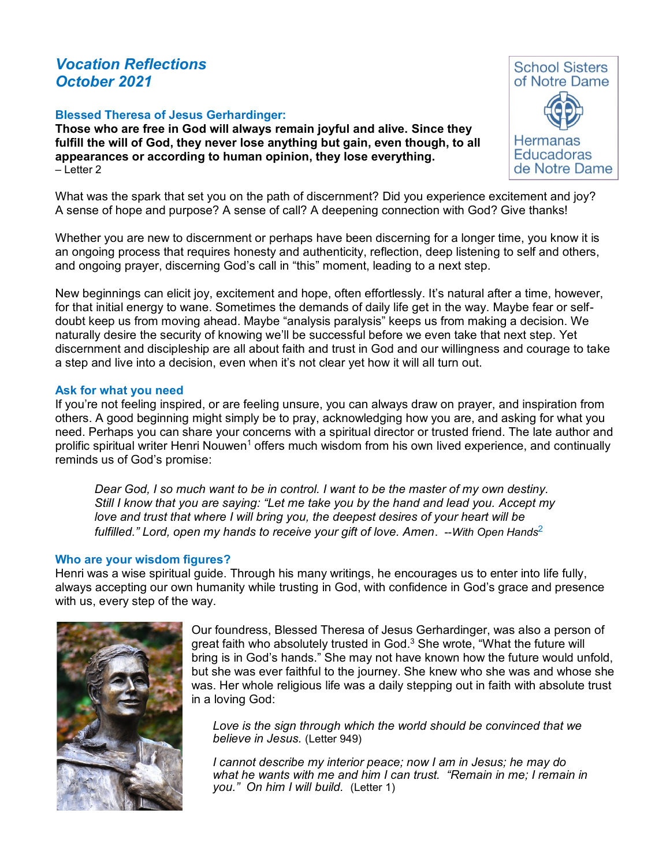# *Vocation Reflections October 2021*

#### **Blessed Theresa of Jesus Gerhardinger:**

**Those who are free in God will always remain joyful and alive. Since they fulfill the will of God, they never lose anything but gain, even though, to all appearances or according to human opinion, they lose everything.** – Letter 2

What was the spark that set you on the path of discernment? Did you experience excitement and joy? A sense of hope and purpose? A sense of call? A deepening connection with God? Give thanks!

Whether you are new to discernment or perhaps have been discerning for a longer time, you know it is an ongoing process that requires honesty and authenticity, reflection, deep listening to self and others, and ongoing prayer, discerning God's call in "this" moment, leading to a next step.

New beginnings can elicit joy, excitement and hope, often effortlessly. It's natural after a time, however, for that initial energy to wane. Sometimes the demands of daily life get in the way. Maybe fear or selfdoubt keep us from moving ahead. Maybe "analysis paralysis" keeps us from making a decision. We naturally desire the security of knowing we'll be successful before we even take that next step. Yet discernment and discipleship are all about faith and trust in God and our willingness and courage to take a step and live into a decision, even when it's not clear yet how it will all turn out.

#### **Ask for what you need**

If you're not feeling inspired, or are feeling unsure, you can always draw on prayer, and inspiration from others. A good beginning might simply be to pray, acknowledging how you are, and asking for what you need. Perhaps you can share your concerns with a spiritual director or trusted friend. The late author and prolific spiritual writer Henri Nouwen<sup>1</sup> offers much wisdom from his own lived experience, and continually reminds us of God's promise:

*Dear God, I so much want to be in control. I want to be the master of my own destiny. Still I know that you are saying: "Let me take you by the hand and lead you. Accept my love and trust that where I will bring you, the deepest desires of your heart will be*  fulfilled." Lord, open my hands to receive your gift of love. Amen. --With Open Hands<sup>2</sup>

#### **Who are your wisdom figures?**

Henri was a wise spiritual guide. Through his many writings, he encourages us to enter into life fully, always accepting our own humanity while trusting in God, with confidence in God's grace and presence with us, every step of the way.



Our foundress, Blessed Theresa of Jesus Gerhardinger, was also a person of great faith who absolutely trusted in God. $3$  She wrote, "What the future will bring is in God's hands." She may not have known how the future would unfold, but she was ever faithful to the journey. She knew who she was and whose she was. Her whole religious life was a daily stepping out in faith with absolute trust in a loving God:

*Love is the sign through which the world should be convinced that we believe in Jesus.* (Letter 949)

*I cannot describe my interior peace; now I am in Jesus; he may do what he wants with me and him I can trust. "Remain in me; I remain in you." On him I will build.* (Letter 1)